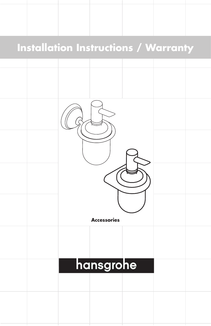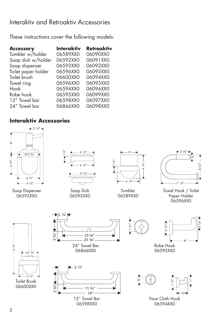# Interaktiv and Retroaktiv Accessories

These instructions cover the following models:

| Interaktiv | Retroaktiv |
|------------|------------|
| 06589XX0   | 06090XX0   |
| 06592XX0   | 06091XX0   |
| 06593XX0   | 06092XX0   |
| 06596XX0   | 06093XX0   |
| 06600XX0   | 06094XX0   |
| 06596XX0   | 06095XX0   |
| 06594XX0   | 06096XX0   |
| 06595XX0   | 06099XX0   |
| 06598XX0   | 06097XX0   |
| 06866XX0   | 06098XX0   |
|            |            |

# **Interaktiv Accessories**

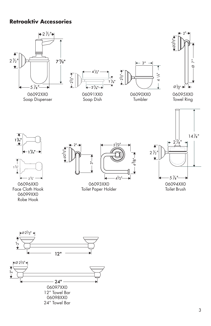## **Retroaktiv Accessories**



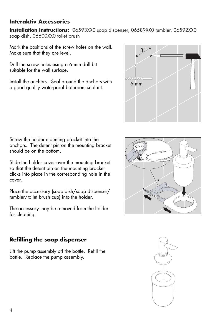# **Interaktiv Accessories**

**Installation Instructions:** 06593XX0 soap dispenser, 06589XX0 tumbler, 06592XX0 soap dish, 06600XX0 toilet brush

Mark the positions of the screw holes on the wall. Make sure that they are level.

Drill the screw holes using a 6 mm drill bit suitable for the wall surface.

Install the anchors. Seal around the anchors with a good quality waterproof bathroom sealant.



Screw the holder mounting bracket into the anchors. The detent pin on the mounting bracket should be on the bottom.

Slide the holder cover over the mounting bracket so that the detent pin on the mounting bracket clicks into place in the corresponding hole in the cover.

Place the accessory (soap dish/soap dispenser/ tumbler/toilet brush cup) into the holder.

The accessory may be removed from the holder for cleaning.



Lift the pump assembly off the bottle. Refill the bottle. Replace the pump assembly.



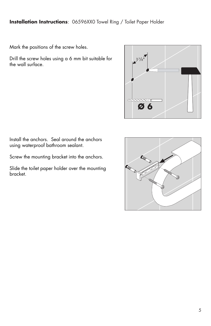### **Installation Instructions**: 06596XX0 Towel Ring / Toilet Paper Holder

Mark the positions of the screw holes.

Drill the screw holes using a 6 mm bit suitable for the wall surface.



Install the anchors. Seal around the anchors using waterproof bathroom sealant.

Screw the mounting bracket into the anchors.

Slide the toilet paper holder over the mounting bracket.

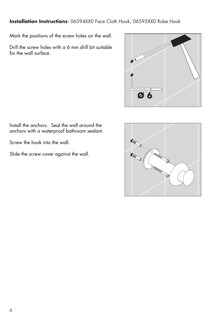**Installation Instructions**: 06594XX0 Face Cloth Hook, 06595XX0 Robe Hook

Mark the positions of the screw holes on the wall.

Drill the screw holes with a 6 mm drill bit suitable for the wall surface.



Install the anchors. Seal the wall around the anchors with a waterproof bathroom sealant.

Screw the hook into the wall.

Slide the screw cover against the wall.

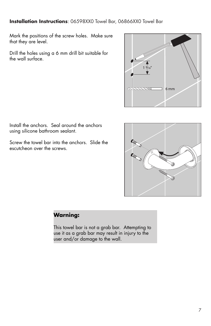### **Installation Instructions**: 06598XX0 Towel Bar, 06866XX0 Towel Bar

Mark the positions of the screw holes. Make sure that they are level.

Drill the holes using a 6 mm drill bit suitable for the wall surface.



Install the anchors. Seal around the anchors using silicone bathroom sealant.

Screw the towel bar into the anchors. Slide the escutcheon over the screws.



### **Warning:**

This towel bar is not a grab bar. Attempting to use it as a grab bar may result in injury to the user and/or damage to the wall.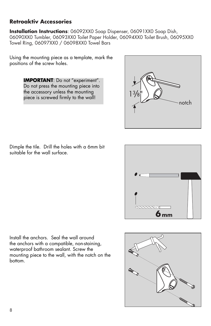## **Retroaktiv Accessories**

**Installation Instructions**: 06092XX0 Soap Dispenser, 06091XX0 Soap Dish, 06090XX0 Tumbler, 06093XX0 Toilet Paper Holder, 06094XX0 Toilet Brush, 06095XX0 Towel Ring, 06097XX0 / 06098XX0 Towel Bars

Using the mounting piece as a template, mark the positions of the screw holes.

> **IMPORTANT:** Do not "experiment". Do not press the mounting piece into the accessory unless the mounting piece is screwed firmly to the wall!



Dimple the tile. Drill the holes with a 6mm bit suitable for the wall surface.



Install the anchors. Seal the wall around the anchors with a compatible, non-staining, waterproof bathroom sealant. Screw the mounting piece to the wall, with the notch on the bottom.

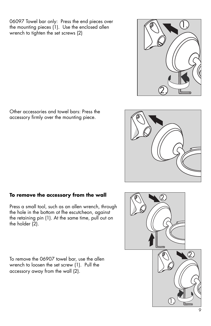06097 Towel bar only: Press the end pieces over the mounting pieces  $(1)$ . Use the enclosed allen wrench to tighten the set screws (2)

Other accessories and towel bars: Press the accessory firmly over the mounting piece.

## **To remove the accessory from the wall**

Press a small tool, such as an allen wrench, through the hole in the bottom ot fhe escutcheon, against the retaining pin (1). At the same time, pull out on the holder  $(2)$ .

To remove the 06907 towel bar, use the allen wrench to loosen the set screw (1). Pull the accessory away from the wall (2).





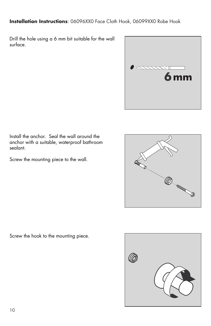### **Installation Instructions**: 06096XX0 Face Cloth Hook, 06099XX0 Robe Hook

Drill the hole using a 6 mm bit suitable for the wall surface.



Install the anchor. Seal the wall around the anchor with a suitable, waterproof bathroom sealant.

Screw the mounting piece to the wall.



Screw the hook to the mounting piece.

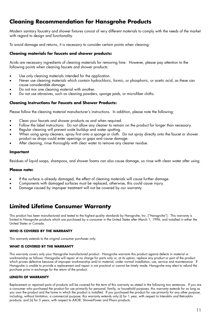# **Cleaning Recommendation for Hansgrohe Products**

Modern sanitary faucetry and shower fixtures consist of very different materials to comply with the needs of the market with regard to design and functionality.

To avoid damage and returns, it is necessary to consider certain points when cleaning:

#### **Cleaning materials for faucets and shower products:**

Acids are necessary ingredients of cleaning materials for removing lime. However, please pay attention to the following points when cleaning faucets and shower products:

- Use only cleaning materials intended for the application.
- Never use cleaning materials which contain hydrochloric, formic, or phosphoric, or acetic acid, as these can cause considerable damage.
- Do not mix one cleaning material with another.
- Do not use abrasives, such as cleaning powders, sponge pads, or microfiber cloths.

#### **Cleaning Instructions for Faucets and Shower Products:**

Please follow the cleaning material manufacturer's instructions. In addition, please note the following:

- Clean your faucets and shower products as and when required.
- Follow the label instructions. Do not allow any cleaner to remain on the product for longer than necessary.
- Regular cleaning will prevent scale buildup and water spotting.
- When using spray cleaners, spray first onto a sponge or cloth. Do not spray directly onto the faucet or shower product as drops could enter openings or gaps and cause damage.
- After cleaning, rinse thoroughly with clear water to remove any cleaner residue.

#### **Important**

Residues of liquid soaps, shampoos, and shower foams can also cause damage, so rinse with clean water after using.

#### **Please note:**

- If the surface is already damaged, the effect of cleaning materials will cause further damage.
- Components with damaged surfaces must be replaced, otherwise, this could cause injury.
- Damage caused by improper treatment will not be covered by our warranty.

## **Limited Lifetime Consumer Warranty**

This product has been manufactured and tested to the highest quality standards by Hansgrohe, Inc. ("Hansgrohe"). This warranty is limited to Hansgrohe products which are purchased by a consumer in the United States after March 1, 1996, and installed in either the United States or Canada.

#### **WHO IS COVERED BY THE WARRANTY**

This warranty extends to the original consumer purchaser only.

#### **WHAT IS COVERED BY THE WARRANTY**

This warranty covers only your Hansgrohe manufactured product. Hansgrohe warrants this product against defects in material or workmanship as follows: Hansgrohe will repair at no charge for parts only or, at its option, replace any product or part of the product which proves defective because of improper workmanship and/or material, under normal installation, use, service and maintenance. If Hansgrohe is unable to provide a replacement and repair is not practical or cannot be timely made, Hansgrohe may elect to refund the purchase price in exchange for the return of the product.

#### **LENGTH OF WARRANTY**

Replacement or repaired parts of products will be covered for the term of this warranty as stated in the following two sentences. If you are a consumer who purchased the product for use primarily for personal, family, or household purposes, this warranty extends for as long as you own the product and the home in which the product is installed. If you purchased the product for use primarily for any other purpose, including, without limitation, a commercial purpose, this warranty extends only (i) for 1 year, with respect to Interaktiv and Retroaktiv<br>products, and (ii) for 5 years, with respect to AXOR, ShowerPower and Pharo products